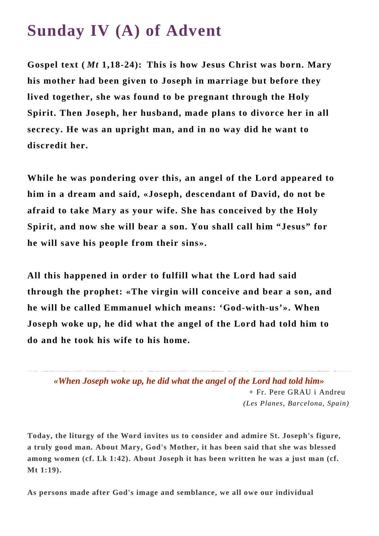## **Sunday IV (A) of Advent**

**Gospel text (** *Mt* **1,18-24): This is how Jesus Christ was born. Mary his mother had been given to Joseph in marriage but before they lived together, she was found to be pregnant through the Holy Spirit. Then Joseph, her husband, made plans to divorce her in all secrecy. He was an upright man, and in no way did he want to discredit her.**

**While he was pondering over this, an angel of the Lord appeared to him in a dream and said, «Joseph, descendant of David, do not be afraid to take Mary as your wife. She has conceived by the Holy Spirit, and now she will bear a son. You shall call him "Jesus" for he will save his people from their sins».** 

**All this happened in order to fulfill what the Lord had said through the prophet: «The virgin will conceive and bear a son, and he will be called Emmanuel which means: 'God-with-us'». When Joseph woke up, he did what the angel of the Lord had told him to do and he took his wife to his home.**

*«When Joseph woke up, he did what the angel of the Lord had told him»* + Fr. Pere GRAU i Andreu *(Les Planes, Barcelona, Spain)*

**Today, the liturgy of the Word invites us to consider and admire St. Joseph's figure, a truly good man. About Mary, God's Mother, it has been said that she was blessed among women (cf. Lk 1:42). About Joseph it has been written he was a just man (cf. Mt 1:19).**

**As persons made after God's image and semblance, we all owe our individual**